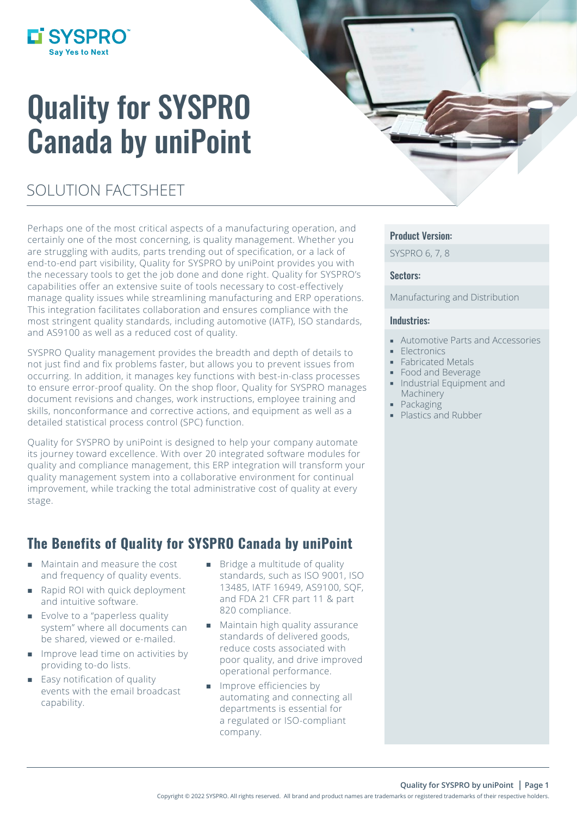

# Quality for SYSPRO Canada by uniPoint

# SOLUTION FACTSHEET

Perhaps one of the most critical aspects of a manufacturing operation, and certainly one of the most concerning, is quality management. Whether you are struggling with audits, parts trending out of specification, or a lack of end-to-end part visibility, Quality for SYSPRO by uniPoint provides you with the necessary tools to get the job done and done right. Quality for SYSPRO's capabilities offer an extensive suite of tools necessary to cost-effectively manage quality issues while streamlining manufacturing and ERP operations. This integration facilitates collaboration and ensures compliance with the most stringent quality standards, including automotive (IATF), ISO standards, and AS9100 as well as a reduced cost of quality.

SYSPRO Quality management provides the breadth and depth of details to not just find and fix problems faster, but allows you to prevent issues from occurring. In addition, it manages key functions with best-in-class processes to ensure error-proof quality. On the shop floor, Quality for SYSPRO manages document revisions and changes, work instructions, employee training and skills, nonconformance and corrective actions, and equipment as well as a detailed statistical process control (SPC) function.

Quality for SYSPRO by uniPoint is designed to help your company automate its journey toward excellence. With over 20 integrated software modules for quality and compliance management, this ERP integration will transform your quality management system into a collaborative environment for continual improvement, while tracking the total administrative cost of quality at every stage.

### The Benefits of Quality for SYSPRO Canada by uniPoint

- Maintain and measure the cost and frequency of quality events.
- Rapid ROI with quick deployment and intuitive software.
- **Exolve to a "paperless quality"** system" where all documents can be shared, viewed or e-mailed.
- **IMPROVE lead time on activities by** providing to-do lists.
- $\blacksquare$  Easy notification of quality events with the email broadcast capability.
- **Bridge a multitude of quality** standards, such as ISO 9001, ISO 13485, IATF 16949, AS9100, SQF, and FDA 21 CFR part 11 & part 820 compliance.
- **Maintain high quality assurance** standards of delivered goods, reduce costs associated with poor quality, and drive improved operational performance.
- **Improve efficiencies by** automating and connecting all departments is essential for a regulated or ISO-compliant company.

### Product Version:

SYSPRO 6, 7, 8

#### Sectors:

Manufacturing and Distribution

#### Industries:

- Automotive Parts and Accessories
- **Electronics**
- **Fabricated Metals**
- **Food and Beverage**
- **Industrial Equipment and** Machinery
- Packaging
- **Plastics and Rubber**